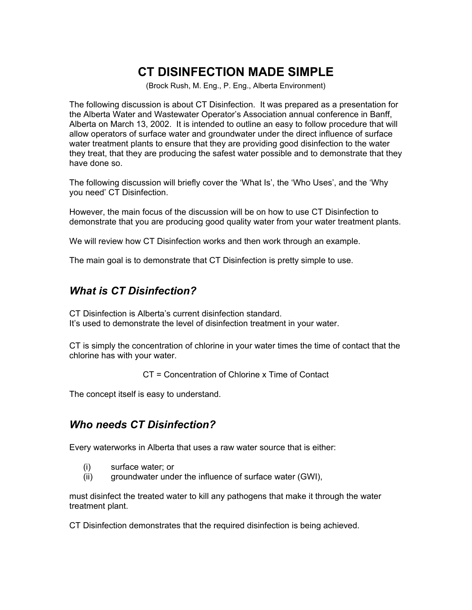# **CT DISINFECTION MADE SIMPLE**

(Brock Rush, M. Eng., P. Eng., Alberta Environment)

The following discussion is about CT Disinfection. It was prepared as a presentation for the Alberta Water and Wastewater Operator's Association annual conference in Banff, Alberta on March 13, 2002. It is intended to outline an easy to follow procedure that will allow operators of surface water and groundwater under the direct influence of surface water treatment plants to ensure that they are providing good disinfection to the water they treat, that they are producing the safest water possible and to demonstrate that they have done so.

The following discussion will briefly cover the 'What Is', the 'Who Uses', and the 'Why you need' CT Disinfection.

However, the main focus of the discussion will be on how to use CT Disinfection to demonstrate that you are producing good quality water from your water treatment plants.

We will review how CT Disinfection works and then work through an example.

The main goal is to demonstrate that CT Disinfection is pretty simple to use.

### *What is CT Disinfection?*

CT Disinfection is Alberta's current disinfection standard. It's used to demonstrate the level of disinfection treatment in your water.

CT is simply the concentration of chlorine in your water times the time of contact that the chlorine has with your water.

CT = Concentration of Chlorine x Time of Contact

The concept itself is easy to understand.

#### *Who needs CT Disinfection?*

Every waterworks in Alberta that uses a raw water source that is either:

- (i) surface water; or
- (ii) groundwater under the influence of surface water (GWI),

must disinfect the treated water to kill any pathogens that make it through the water treatment plant.

CT Disinfection demonstrates that the required disinfection is being achieved.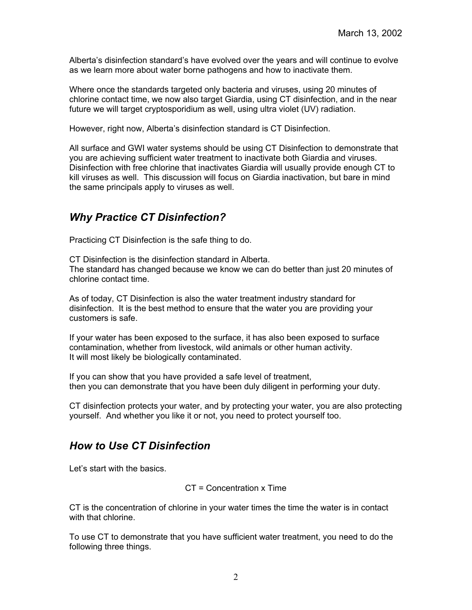Alberta's disinfection standard's have evolved over the years and will continue to evolve as we learn more about water borne pathogens and how to inactivate them.

Where once the standards targeted only bacteria and viruses, using 20 minutes of chlorine contact time, we now also target Giardia, using CT disinfection, and in the near future we will target cryptosporidium as well, using ultra violet (UV) radiation.

However, right now, Alberta's disinfection standard is CT Disinfection.

All surface and GWI water systems should be using CT Disinfection to demonstrate that you are achieving sufficient water treatment to inactivate both Giardia and viruses. Disinfection with free chlorine that inactivates Giardia will usually provide enough CT to kill viruses as well. This discussion will focus on Giardia inactivation, but bare in mind the same principals apply to viruses as well.

# *Why Practice CT Disinfection?*

Practicing CT Disinfection is the safe thing to do.

CT Disinfection is the disinfection standard in Alberta. The standard has changed because we know we can do better than just 20 minutes of chlorine contact time.

As of today, CT Disinfection is also the water treatment industry standard for disinfection. It is the best method to ensure that the water you are providing your customers is safe.

If your water has been exposed to the surface, it has also been exposed to surface contamination, whether from livestock, wild animals or other human activity. It will most likely be biologically contaminated.

If you can show that you have provided a safe level of treatment, then you can demonstrate that you have been duly diligent in performing your duty.

CT disinfection protects your water, and by protecting your water, you are also protecting yourself. And whether you like it or not, you need to protect yourself too.

# *How to Use CT Disinfection*

Let's start with the basics.

CT = Concentration x Time

CT is the concentration of chlorine in your water times the time the water is in contact with that chlorine.

To use CT to demonstrate that you have sufficient water treatment, you need to do the following three things.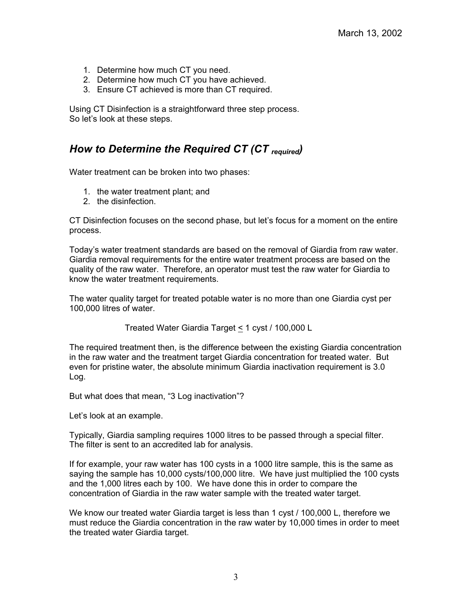- 1. Determine how much CT you need.
- 2. Determine how much CT you have achieved.
- 3. Ensure CT achieved is more than CT required.

Using CT Disinfection is a straightforward three step process. So let's look at these steps.

### *How to Determine the Required CT (CT required)*

Water treatment can be broken into two phases:

- 1. the water treatment plant; and
- 2. the disinfection.

CT Disinfection focuses on the second phase, but let's focus for a moment on the entire process.

Today's water treatment standards are based on the removal of Giardia from raw water. Giardia removal requirements for the entire water treatment process are based on the quality of the raw water. Therefore, an operator must test the raw water for Giardia to know the water treatment requirements.

The water quality target for treated potable water is no more than one Giardia cyst per 100,000 litres of water.

Treated Water Giardia Target < 1 cyst / 100,000 L

The required treatment then, is the difference between the existing Giardia concentration in the raw water and the treatment target Giardia concentration for treated water. But even for pristine water, the absolute minimum Giardia inactivation requirement is 3.0 Log.

But what does that mean, "3 Log inactivation"?

Let's look at an example.

Typically, Giardia sampling requires 1000 litres to be passed through a special filter. The filter is sent to an accredited lab for analysis.

If for example, your raw water has 100 cysts in a 1000 litre sample, this is the same as saying the sample has 10,000 cysts/100,000 litre. We have just multiplied the 100 cysts and the 1,000 litres each by 100. We have done this in order to compare the concentration of Giardia in the raw water sample with the treated water target.

We know our treated water Giardia target is less than 1 cyst / 100,000 L, therefore we must reduce the Giardia concentration in the raw water by 10,000 times in order to meet the treated water Giardia target.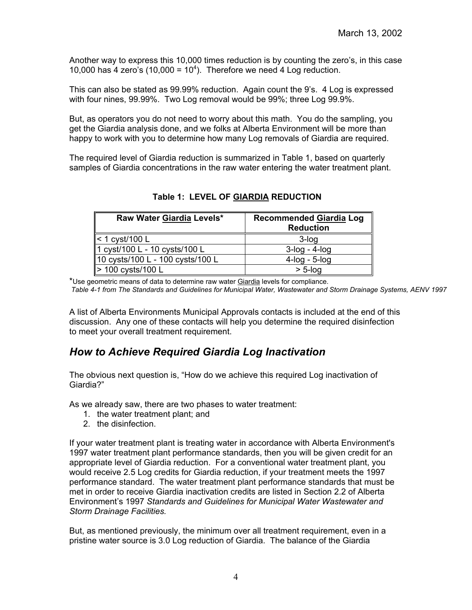Another way to express this 10,000 times reduction is by counting the zero's, in this case 10,000 has  $4$  zero's (10,000 =  $10<sup>4</sup>$ ). Therefore we need  $4$  Log reduction.

This can also be stated as 99.99% reduction. Again count the 9's. 4 Log is expressed with four nines, 99.99%. Two Log removal would be 99%; three Log 99.9%.

But, as operators you do not need to worry about this math. You do the sampling, you get the Giardia analysis done, and we folks at Alberta Environment will be more than happy to work with you to determine how many Log removals of Giardia are required.

The required level of Giardia reduction is summarized in Table 1, based on quarterly samples of Giardia concentrations in the raw water entering the water treatment plant.

| Raw Water Giardia Levels*        | <b>Recommended Giardia Log</b><br><b>Reduction</b> |
|----------------------------------|----------------------------------------------------|
| $\leq 1$ cyst/100 L              | $3$ -log                                           |
| 1 cyst/100 L - 10 cysts/100 L    | $3$ -log - 4-log                                   |
| 10 cysts/100 L - 100 cysts/100 L | $4$ -log - 5-log                                   |
| > 100 cysts/100 L                | $> 5$ -log                                         |

**Table 1: LEVEL OF GIARDIA REDUCTION**

\*Use geometric means of data to determine raw water Giardia levels for compliance.

*Table 4-1 from The Standards and Guidelines for Municipal Water, Wastewater and Storm Drainage Systems, AENV 1997*

A list of Alberta Environments Municipal Approvals contacts is included at the end of this discussion. Any one of these contacts will help you determine the required disinfection to meet your overall treatment requirement.

# *How to Achieve Required Giardia Log Inactivation*

The obvious next question is, "How do we achieve this required Log inactivation of Giardia?"

As we already saw, there are two phases to water treatment:

- 1. the water treatment plant; and
- 2. the disinfection.

If your water treatment plant is treating water in accordance with Alberta Environment's 1997 water treatment plant performance standards, then you will be given credit for an appropriate level of Giardia reduction. For a conventional water treatment plant, you would receive 2.5 Log credits for Giardia reduction, if your treatment meets the 1997 performance standard. The water treatment plant performance standards that must be met in order to receive Giardia inactivation credits are listed in Section 2.2 of Alberta Environment's 1997 *Standards and Guidelines for Municipal Water Wastewater and Storm Drainage Facilities.*

But, as mentioned previously, the minimum over all treatment requirement, even in a pristine water source is 3.0 Log reduction of Giardia. The balance of the Giardia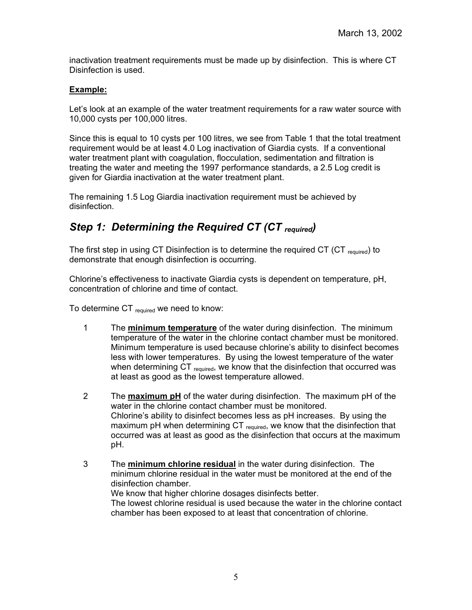inactivation treatment requirements must be made up by disinfection. This is where CT Disinfection is used.

#### **Example:**

Let's look at an example of the water treatment requirements for a raw water source with 10,000 cysts per 100,000 litres.

Since this is equal to 10 cysts per 100 litres, we see from Table 1 that the total treatment requirement would be at least 4.0 Log inactivation of Giardia cysts. If a conventional water treatment plant with coagulation, flocculation, sedimentation and filtration is treating the water and meeting the 1997 performance standards, a 2.5 Log credit is given for Giardia inactivation at the water treatment plant.

The remaining 1.5 Log Giardia inactivation requirement must be achieved by disinfection.

# *Step 1: Determining the Required CT (CT required)*

The first step in using CT Disinfection is to determine the required CT (CT  $_{\text{required}}$ ) to demonstrate that enough disinfection is occurring.

Chlorine's effectiveness to inactivate Giardia cysts is dependent on temperature, pH, concentration of chlorine and time of contact.

To determine CT  $_{\text{required}}$  we need to know:

- 1 The **minimum temperature** of the water during disinfection. The minimum temperature of the water in the chlorine contact chamber must be monitored. Minimum temperature is used because chlorine's ability to disinfect becomes less with lower temperatures. By using the lowest temperature of the water when determining CT required, we know that the disinfection that occurred was at least as good as the lowest temperature allowed.
- 2 The **maximum pH** of the water during disinfection. The maximum pH of the water in the chlorine contact chamber must be monitored. Chlorine's ability to disinfect becomes less as pH increases. By using the maximum pH when determining  $CT_{required}$ , we know that the disinfection that occurred was at least as good as the disinfection that occurs at the maximum pH.
- 3 The **minimum chlorine residual** in the water during disinfection. The minimum chlorine residual in the water must be monitored at the end of the disinfection chamber. We know that higher chlorine dosages disinfects better. The lowest chlorine residual is used because the water in the chlorine contact chamber has been exposed to at least that concentration of chlorine.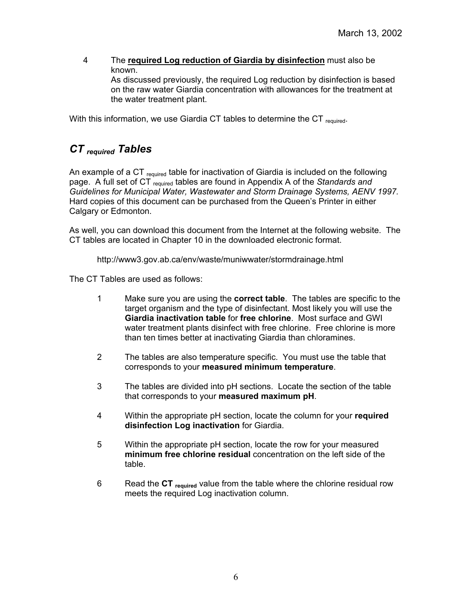4 The **required Log reduction of Giardia by disinfection** must also be known. As discussed previously, the required Log reduction by disinfection is based on the raw water Giardia concentration with allowances for the treatment at the water treatment plant.

With this information, we use Giardia CT tables to determine the CT  $_{\rm required}$ .

# *CT required Tables*

An example of a CT  $_{\rm required}$  table for inactivation of Giardia is included on the following page. A full set of CT required tables are found in Appendix A of the *Standards and Guidelines for Municipal Water, Wastewater and Storm Drainage Systems, AENV 1997.*  Hard copies of this document can be purchased from the Queen's Printer in either Calgary or Edmonton.

As well, you can download this document from the Internet at the following website. The CT tables are located in Chapter 10 in the downloaded electronic format.

http://www3.gov.ab.ca/env/waste/muniwwater/stormdrainage.html

The CT Tables are used as follows:

- 1 Make sure you are using the **correct table**. The tables are specific to the target organism and the type of disinfectant. Most likely you will use the **Giardia inactivation table** for **free chlorine**. Most surface and GWI water treatment plants disinfect with free chlorine. Free chlorine is more than ten times better at inactivating Giardia than chloramines.
- 2 The tables are also temperature specific. You must use the table that corresponds to your **measured minimum temperature**.
- 3 The tables are divided into pH sections. Locate the section of the table that corresponds to your **measured maximum pH**.
- 4 Within the appropriate pH section, locate the column for your **required disinfection Log inactivation** for Giardia.
- 5 Within the appropriate pH section, locate the row for your measured **minimum free chlorine residual** concentration on the left side of the table.
- 6 Read the **CT required** value from the table where the chlorine residual row meets the required Log inactivation column.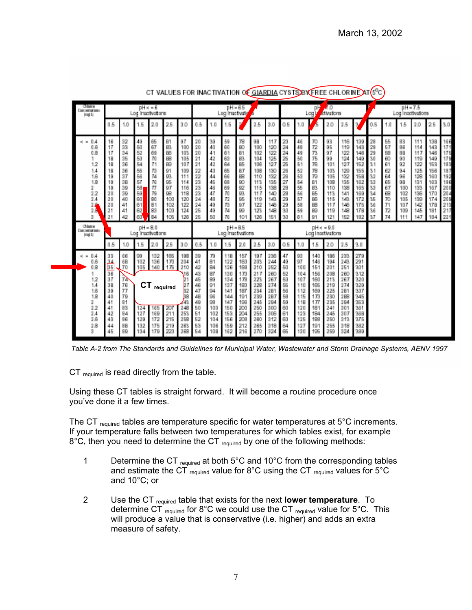| <b>Chairs</b><br>Concrete todaura<br>Iraqi Li                                                      | $DH = 6$<br>Log inactivators                                                     |                                                                                  |                                                                                         | $nH = 6.5$<br>Log Inset valy                                                                |                                                                                      |                                                                                               |                                                                                  |                                                                                       | J <sub>0</sub><br>叫<br>Ativations<br>Log )                                                     |                                                                                                |                                                                                                |                                                                                                | $pH = 7.5$<br>Log Inactivations                                                  |                                                                                              |                                                                                                          |                                                                                                |                                                                                                |                                                                                                |                                                                                  |                                                                                  |                                                                                        |                                                                                                |                                                                                                |                                                                                                |
|----------------------------------------------------------------------------------------------------|----------------------------------------------------------------------------------|----------------------------------------------------------------------------------|-----------------------------------------------------------------------------------------|---------------------------------------------------------------------------------------------|--------------------------------------------------------------------------------------|-----------------------------------------------------------------------------------------------|----------------------------------------------------------------------------------|---------------------------------------------------------------------------------------|------------------------------------------------------------------------------------------------|------------------------------------------------------------------------------------------------|------------------------------------------------------------------------------------------------|------------------------------------------------------------------------------------------------|----------------------------------------------------------------------------------|----------------------------------------------------------------------------------------------|----------------------------------------------------------------------------------------------------------|------------------------------------------------------------------------------------------------|------------------------------------------------------------------------------------------------|------------------------------------------------------------------------------------------------|----------------------------------------------------------------------------------|----------------------------------------------------------------------------------|----------------------------------------------------------------------------------------|------------------------------------------------------------------------------------------------|------------------------------------------------------------------------------------------------|------------------------------------------------------------------------------------------------|
|                                                                                                    | 0.5                                                                              | 1.0                                                                              | 1.5                                                                                     | 2.0                                                                                         | 2.5                                                                                  | 3.0                                                                                           | 0.5                                                                              | 1.0                                                                                   | 1.5                                                                                            | n,                                                                                             | 2.5                                                                                            | 3.0                                                                                            | 0.5                                                                              | 1.0                                                                                          | G                                                                                                        | 2.0                                                                                            | 2.5                                                                                            | ¥                                                                                              | 0.5                                                                              | 1.0                                                                              | 1.5                                                                                    | 2.0                                                                                            | 2.5                                                                                            | 3.0                                                                                            |
| $\epsilon = 0.4$<br>0.6<br>0.8<br>12<br>1.4<br>1.6<br>1.8<br>2<br>2.2<br>2.4<br>$\frac{2}{2}$<br>з | 16<br>17<br>17<br>18<br>18<br>18<br>19<br>19<br>19<br>20<br>20<br>20<br>21<br>21 | 32<br>33<br>34<br>35<br>36<br>36<br>37<br>38<br>39<br>39<br>40<br>41<br>41<br>42 | 49<br>50<br>52<br>53<br>54<br>55<br>56<br>57<br>58<br>$\frac{59}{60}$<br>61<br>62<br>63 | 65<br>67<br>69<br>70<br>71<br>73<br>74<br>76<br>$\pi$<br>79<br><b>190</b><br>81<br>83<br>84 | 81<br>B3<br>B6<br>BS<br>B9<br>91<br>93<br>95<br>97<br>98<br>100<br>102<br>103<br>105 | 97<br>100<br>103<br>105<br>107<br>109<br>111<br>114<br>116<br>118<br>120<br>122<br>124<br>126 | 20<br>20<br>20<br>21<br>21<br>22<br>22<br>23<br>23<br>23<br>24<br>24<br>25<br>25 | 39<br>40<br>41<br>42<br>42<br>43<br>44<br>45<br>46<br>47<br>48<br>49<br>49<br>50      | 59<br>60<br>61<br>63<br>64<br>65<br>66<br>68<br>69<br>70<br>T2<br>73<br>74<br>76               | 78<br>BO<br>B <sub>1</sub><br>83<br>85<br>87<br>B8<br>90<br>92<br>93<br>95<br>97<br>99<br>101  | 98<br>100<br>102<br>104<br>106<br>108<br>110<br>113<br>115<br>117<br>119<br>122<br>123<br>126  | 117<br>120<br>122<br>125<br>127<br>130<br>132<br>135<br>138<br>140<br>143<br>146<br>148<br>151 | 23<br>24<br>24<br>25<br>25<br>26<br>26<br>27<br>29<br>29<br>29<br>29<br>30<br>30 | 46<br>48<br>49<br>50<br>51<br>52<br>53 55 55 57<br>58<br>59<br>61                            | 70<br>72<br>73<br>75<br>76<br>78<br>79<br>B <sub>1</sub><br>83<br>85<br>B6<br>B <sub>8</sub><br>B9<br>91 | 93<br>95<br>97<br>99<br>101<br>103<br>105<br>108<br>110<br>113<br>115<br>117<br>119<br>121     | 116<br>119<br>122<br>124<br>127<br>129<br>132<br>135<br>138<br>141<br>143<br>146<br>148<br>152 | 139<br>143<br>146<br>149<br>152<br>155<br>158<br>162<br>165<br>169<br>172<br>175<br>178<br>182 | 28<br>29<br>29<br>30<br>31<br>31<br>32<br>33<br>33<br>34<br>35<br>36<br>36<br>37 | 55<br>57<br>58<br>60<br>61<br>62<br>64<br>65<br>67<br>68<br>70<br>71<br>72<br>74 | 83<br>86<br>88<br>90<br>92<br>94<br>96<br>98<br>100<br>102<br>105<br>107<br>109<br>111 | 111<br>114<br>117<br>119<br>122<br>125<br>128<br>131<br>133<br>136<br>139<br>142<br>145<br>147 | 138<br>143<br>146<br>149<br>153<br>156<br>160<br>163<br>167<br>170<br>174<br>178<br>181<br>184 | 166<br>171<br>175<br>179<br>183<br>187<br>192<br>196<br>200<br>204<br>209<br>213<br>217<br>221 |
| Chiera<br>Concrete taking<br>imgi Li                                                               |                                                                                  |                                                                                  | $pH = 8.0$<br>Log inactivators                                                          |                                                                                             |                                                                                      |                                                                                               |                                                                                  |                                                                                       |                                                                                                | $H = H5$<br>Log Inactivations                                                                  |                                                                                                |                                                                                                |                                                                                  |                                                                                              |                                                                                                          | $DH = PHQ$<br>Log Inactivations                                                                |                                                                                                |                                                                                                |                                                                                  |                                                                                  |                                                                                        |                                                                                                |                                                                                                |                                                                                                |
|                                                                                                    | 0.5                                                                              | 1.0                                                                              | 1.5                                                                                     | 2.0                                                                                         | 25                                                                                   | 3.0                                                                                           | 0.5                                                                              | 1.0                                                                                   | 1.5                                                                                            | 2.0                                                                                            | 2.5                                                                                            | 3.0                                                                                            | 0.5                                                                              | 1.0                                                                                          | 15                                                                                                       | 2.0                                                                                            | 2.5                                                                                            | 3.0                                                                                            |                                                                                  |                                                                                  |                                                                                        |                                                                                                |                                                                                                |                                                                                                |
| $-0.4$<br>π.<br>0.6<br>0.8<br>12<br>1.4<br>1.6<br>1.8<br>2<br>2.2<br>2.4<br>2.6<br>2.8<br>з        | 33<br>34<br>35<br>36<br>37<br>38<br>39<br>40<br>41<br>41<br>42<br>43<br>44<br>45 | 66<br>6B<br>70<br>74<br>76<br>77<br>79<br>81<br>83<br>84<br>96<br>88<br>89       | 99<br>102<br>105<br>CT<br>124<br>127<br>129<br>132<br>134                               | 132<br>136<br>140<br>165<br>169<br>172<br>175<br>179                                        | 165<br>170<br>175<br>required<br>207<br>211<br>215<br>219<br>223                     | 198<br>204<br>210<br>16<br>27<br>32<br>38<br>248<br>253<br>258<br>263<br>268                  | 39<br>41<br>42<br>43<br>45<br>46<br>47<br>48<br>49<br>50<br>51<br>52<br>53<br>54 | 79<br>81<br>84<br>87<br>89<br>91<br>94<br>96<br>98<br>100<br>102<br>104<br>106<br>108 | 11B<br>122<br>126<br>130<br>134<br>137<br>141<br>144<br>147<br>150<br>153<br>156<br>159<br>162 | 157<br>163<br>168<br>173<br>178<br>183<br>187<br>191<br>196<br>200<br>204<br>208<br>212<br>216 | 197<br>203<br>210<br>217<br>223<br>228<br>234<br>239<br>245<br>250<br>255<br>260<br>265<br>270 | 236<br>244<br>252<br>260<br>267<br>274<br>281<br>287<br>294<br>300<br>306<br>312<br>318<br>324 | 47<br>49<br>50<br>52<br>53<br>55<br>56<br>58<br>59<br>60<br>61<br>63<br>64<br>65 | 93<br>97<br>100<br>104<br>107<br>110<br>112<br>115<br>118<br>120<br>123<br>125<br>127<br>130 | 140<br>146<br>151<br>156<br>160<br>165<br>169<br>173<br>177<br>181<br>184<br>188<br>191<br>195           | 186<br>194<br>201<br>208<br>213<br>219<br>225<br>230<br>235<br>241<br>245<br>250<br>255<br>259 | 233<br>243<br>251<br>260<br>267<br>274<br>281<br>288<br>294<br>301<br>307<br>313<br>318<br>324 | 279<br>291<br>301<br>312<br>320<br>329<br>337<br>345<br>353<br>361<br>368<br>375<br>382<br>389 |                                                                                  |                                                                                  |                                                                                        |                                                                                                |                                                                                                |                                                                                                |

CT VALUES FOR INACTIVATION OF GIARDIA CYSTS/BY FREE CHLORINE AT (S<sup>O</sup>C)

*Table A-2 from The Standards and Guidelines for Municipal Water, Wastewater and Storm Drainage Systems, AENV 1997*

CT required is read directly from the table.

Using these CT tables is straight forward. It will become a routine procedure once you've done it a few times.

The CT  $_{\text{required}}$  tables are temperature specific for water temperatures at  $5^{\circ}$ C increments. If your temperature falls between two temperatures for which tables exist, for example  $8^{\circ}$ C, then you need to determine the CT  $_{\text{required}}$  by one of the following methods:

- 1 Determine the CT required at both 5°C and 10°C from the corresponding tables and estimate the CT required value for 8°C using the CT required values for  $5^{\circ}$ C and 10°C; or
- 2 Use the CT required table that exists for the next **lower temperature**. To determine CT required for 8°C we could use the CT required value for  $5^{\circ}$ C. This will produce a value that is conservative (i.e. higher) and adds an extra measure of safety.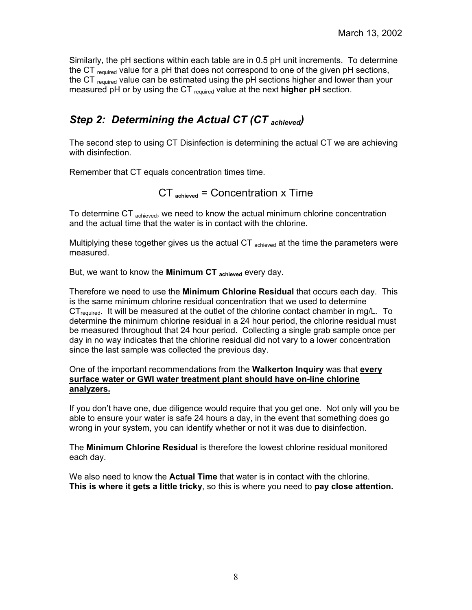Similarly, the pH sections within each table are in 0.5 pH unit increments. To determine the CT required value for a pH that does not correspond to one of the given pH sections, the CT required value can be estimated using the pH sections higher and lower than your measured pH or by using the CT required value at the next **higher pH** section.

# *Step 2: Determining the Actual CT (CT achieved)*

The second step to using CT Disinfection is determining the actual CT we are achieving with disinfection.

Remember that CT equals concentration times time.

### CT **achieved** = Concentration x Time

To determine CT <sub>achieved</sub>, we need to know the actual minimum chlorine concentration and the actual time that the water is in contact with the chlorine.

Multiplying these together gives us the actual  $CT$  achieved at the time the parameters were measured.

But, we want to know the **Minimum CT achieved** every day.

Therefore we need to use the **Minimum Chlorine Residual** that occurs each day. This is the same minimum chlorine residual concentration that we used to determine  $CT_{required}$ . It will be measured at the outlet of the chlorine contact chamber in mg/L. To determine the minimum chlorine residual in a 24 hour period, the chlorine residual must be measured throughout that 24 hour period. Collecting a single grab sample once per day in no way indicates that the chlorine residual did not vary to a lower concentration since the last sample was collected the previous day.

One of the important recommendations from the **Walkerton Inquiry** was that **every surface water or GWI water treatment plant should have on-line chlorine analyzers.**

If you don't have one, due diligence would require that you get one. Not only will you be able to ensure your water is safe 24 hours a day, in the event that something does go wrong in your system, you can identify whether or not it was due to disinfection.

The **Minimum Chlorine Residual** is therefore the lowest chlorine residual monitored each day.

We also need to know the **Actual Time** that water is in contact with the chlorine. **This is where it gets a little tricky**, so this is where you need to **pay close attention.**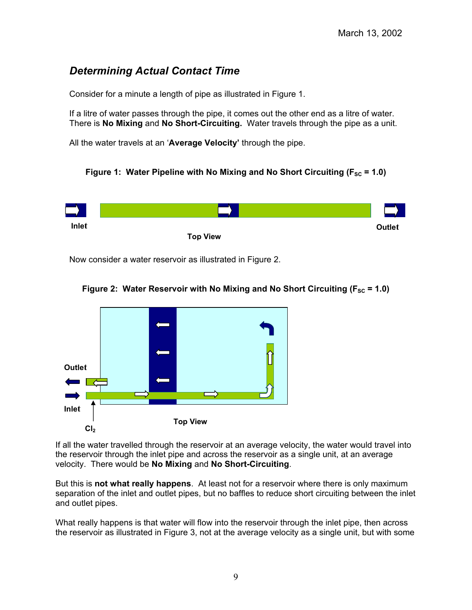# *Determining Actual Contact Time*

Consider for a minute a length of pipe as illustrated in Figure 1.

If a litre of water passes through the pipe, it comes out the other end as a litre of water. There is **No Mixing** and **No Short-Circuiting.** Water travels through the pipe as a unit.

All the water travels at an '**Average Velocity'** through the pipe.





Now consider a water reservoir as illustrated in Figure 2.





If all the water travelled through the reservoir at an average velocity, the water would travel into the reservoir through the inlet pipe and across the reservoir as a single unit, at an average velocity. There would be **No Mixing** and **No Short-Circuiting**.

But this is **not what really happens**. At least not for a reservoir where there is only maximum separation of the inlet and outlet pipes, but no baffles to reduce short circuiting between the inlet and outlet pipes.

What really happens is that water will flow into the reservoir through the inlet pipe, then across the reservoir as illustrated in Figure 3, not at the average velocity as a single unit, but with some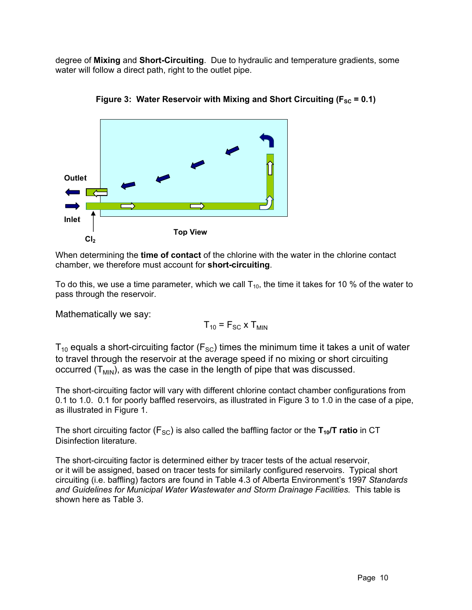degree of **Mixing** and **Short-Circuiting**. Due to hydraulic and temperature gradients, some water will follow a direct path, right to the outlet pipe.





When determining the **time of contact** of the chlorine with the water in the chlorine contact chamber, we therefore must account for **short-circuiting**.

To do this, we use a time parameter, which we call  $T_{10}$ , the time it takes for 10 % of the water to pass through the reservoir.

Mathematically we say:

$$
T_{10} = F_{SC} \times T_{MIN}
$$

 $T_{10}$  equals a short-circuiting factor ( $F_{SC}$ ) times the minimum time it takes a unit of water to travel through the reservoir at the average speed if no mixing or short circuiting occurred  $(T_{MIN})$ , as was the case in the length of pipe that was discussed.

The short-circuiting factor will vary with different chlorine contact chamber configurations from 0.1 to 1.0. 0.1 for poorly baffled reservoirs, as illustrated in Figure 3 to 1.0 in the case of a pipe, as illustrated in Figure 1.

The short circuiting factor  $(F_{SC})$  is also called the baffling factor or the  $T_{10}/T$  ratio in CT Disinfection literature.

The short-circuiting factor is determined either by tracer tests of the actual reservoir, or it will be assigned, based on tracer tests for similarly configured reservoirs. Typical short circuiting (i.e. baffling) factors are found in Table 4.3 of Alberta Environment's 1997 *Standards and Guidelines for Municipal Water Wastewater and Storm Drainage Facilities.* This table is shown here as Table 3.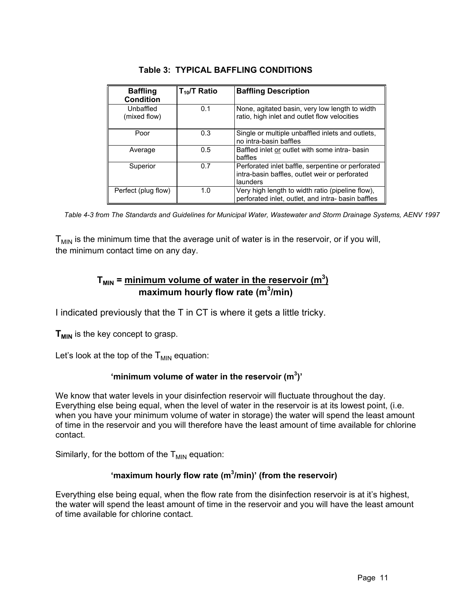| <b>Baffling</b><br><b>Condition</b> | $T_{10}$ /T Ratio | <b>Baffling Description</b>                                                                                     |
|-------------------------------------|-------------------|-----------------------------------------------------------------------------------------------------------------|
| Unbaffled<br>(mixed flow)           | 0.1               | None, agitated basin, very low length to width<br>ratio, high inlet and outlet flow velocities                  |
| Poor                                | 0.3               | Single or multiple unbaffled inlets and outlets,<br>no intra-basin baffles                                      |
| Average                             | 0.5               | Baffled inlet or outlet with some intra-basin<br>baffles                                                        |
| Superior                            | 0.7               | Perforated inlet baffle, serpentine or perforated<br>intra-basin baffles, outlet weir or perforated<br>launders |
| Perfect (plug flow)                 | 1.0               | Very high length to width ratio (pipeline flow),<br>perforated inlet, outlet, and intra- basin baffles          |

#### **Table 3: TYPICAL BAFFLING CONDITIONS**

*Table 4-3 from The Standards and Guidelines for Municipal Water, Wastewater and Storm Drainage Systems, AENV 1997*

 $T<sub>MIN</sub>$  is the minimum time that the average unit of water is in the reservoir, or if you will, the minimum contact time on any day.

### ${\sf T}_{\sf MIN}$  = <u>minimum volume of water in the reservoir (m $^3$ )</u>  **maximum hourly flow rate (m<sup>3</sup> /min)**

I indicated previously that the T in CT is where it gets a little tricky.

**T<sub>MIN</sub>** is the key concept to grasp.

Let's look at the top of the  $T_{MIN}$  equation:

#### **'minimum volume of water in the reservoir (m<sup>3</sup> )'**

We know that water levels in your disinfection reservoir will fluctuate throughout the day. Everything else being equal, when the level of water in the reservoir is at its lowest point, (i.e. when you have your minimum volume of water in storage) the water will spend the least amount of time in the reservoir and you will therefore have the least amount of time available for chlorine contact.

Similarly, for the bottom of the  $T_{MIN}$  equation:

#### **'maximum hourly flow rate (m3 /min)' (from the reservoir)**

Everything else being equal, when the flow rate from the disinfection reservoir is at it's highest, the water will spend the least amount of time in the reservoir and you will have the least amount of time available for chlorine contact.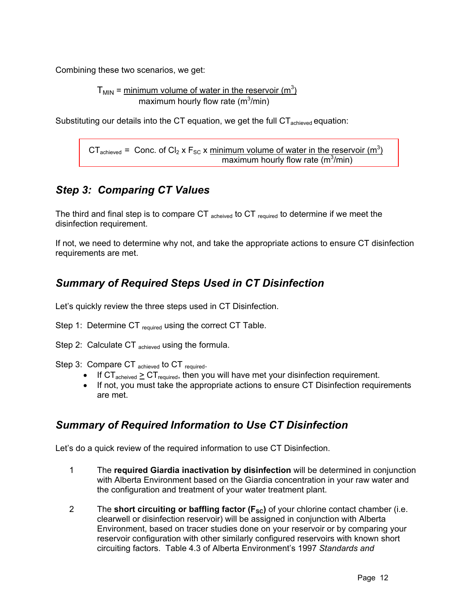Combining these two scenarios, we get:

 $T_{MIN}$  = minimum volume of water in the reservoir (m<sup>3</sup>) maximum hourly flow rate (m $3/m$ in)

Substituting our details into the CT equation, we get the full  $CT_{\text{achieved}}$  equation:

CT<sub>achieved</sub> = Conc. of Cl<sub>2</sub> x F<sub>SC</sub> x minimum volume of water in the reservoir (m<sup>3</sup>) **Example 2** maximum hourly flow rate (m<sup>3</sup>/min)

# *Step 3: Comparing CT Values*

The third and final step is to compare CT  $_{\text{acheived}}$  to CT  $_{\text{required}}$  to determine if we meet the disinfection requirement.

If not, we need to determine why not, and take the appropriate actions to ensure CT disinfection requirements are met.

# *Summary of Required Steps Used in CT Disinfection*

Let's quickly review the three steps used in CT Disinfection.

- Step 1: Determine CT required using the correct CT Table.
- Step 2: Calculate CT <sub>achieved</sub> using the formula.
- Step 3: Compare CT achieved to CT required.
	- If  $CT_{\text{acheived}} \geq CT_{\text{required}}$ , then you will have met your disinfection requirement.
	- If not, you must take the appropriate actions to ensure CT Disinfection requirements are met.

# *Summary of Required Information to Use CT Disinfection*

Let's do a quick review of the required information to use CT Disinfection.

- 1 The **required Giardia inactivation by disinfection** will be determined in conjunction with Alberta Environment based on the Giardia concentration in your raw water and the configuration and treatment of your water treatment plant.
- 2 The **short circuiting or baffling factor (F<sub>sc</sub>)** of your chlorine contact chamber (i.e. clearwell or disinfection reservoir) will be assigned in conjunction with Alberta Environment, based on tracer studies done on your reservoir or by comparing your reservoir configuration with other similarly configured reservoirs with known short circuiting factors. Table 4.3 of Alberta Environment's 1997 *Standards and*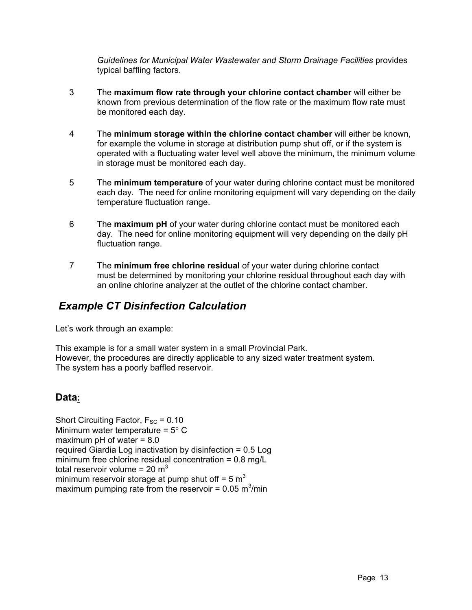*Guidelines for Municipal Water Wastewater and Storm Drainage Facilities* provides typical baffling factors.

- 3 The **maximum flow rate through your chlorine contact chamber** will either be known from previous determination of the flow rate or the maximum flow rate must be monitored each day.
- 4 The **minimum storage within the chlorine contact chamber** will either be known, for example the volume in storage at distribution pump shut off, or if the system is operated with a fluctuating water level well above the minimum, the minimum volume in storage must be monitored each day.
- 5 The **minimum temperature** of your water during chlorine contact must be monitored each day. The need for online monitoring equipment will vary depending on the daily temperature fluctuation range.
- 6 The **maximum pH** of your water during chlorine contact must be monitored each day. The need for online monitoring equipment will very depending on the daily pH fluctuation range.
- 7 The **minimum free chlorine residual** of your water during chlorine contact must be determined by monitoring your chlorine residual throughout each day with an online chlorine analyzer at the outlet of the chlorine contact chamber.

# *Example CT Disinfection Calculation*

Let's work through an example:

This example is for a small water system in a small Provincial Park. However, the procedures are directly applicable to any sized water treatment system. The system has a poorly baffled reservoir.

# **Data:**

Short Circuiting Factor,  $F_{SC} = 0.10$ Minimum water temperature =  $5^{\circ}$  C maximum  $pH$  of water =  $8.0$ required Giardia Log inactivation by disinfection = 0.5 Log minimum free chlorine residual concentration = 0.8 mg/L total reservoir volume =  $20 \text{ m}^3$ minimum reservoir storage at pump shut off =  $5 \text{ m}^3$ maximum pumping rate from the reservoir =  $0.05 \text{ m}^3/\text{min}$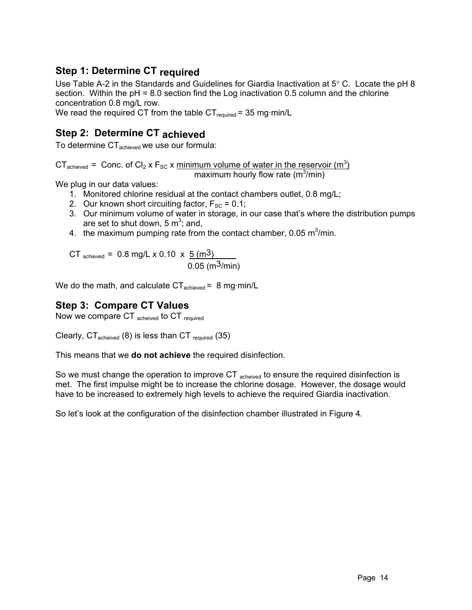# **Step 1: Determine CT required**

Use Table A-2 in the Standards and Guidelines for Giardia Inactivation at  $5^{\circ}$  C. Locate the pH 8 section. Within the pH = 8.0 section find the Log inactivation 0.5 column and the chlorine concentration 0.8 mg/L row.

We read the required CT from the table  $CT_{required} = 35$  mg·min/L

# **Step 2: Determine CT achieved**

To determine CT<sub>achieved</sub> we use our formula:

CT<sub>achieved</sub> = Conc. of Cl<sub>2</sub> x F<sub>SC</sub> x minimum volume of water in the reservoir (m<sup>3</sup>)

maximum hourly flow rate (m<sup>3</sup>/min)

We plug in our data values:

- 1. Monitored chlorine residual at the contact chambers outlet, 0.8 mg/L;
- 2. Our known short circuiting factor,  $F_{SC} = 0.1$ ;
- 3. Our minimum volume of water in storage, in our case that's where the distribution pumps are set to shut down, 5  $m^3$ ; and,
- 4. the maximum pumping rate from the contact chamber, 0.05  $\text{m}^3/\text{min}$ .

CT  $_{\text{achieved}}$  = 0.8 mg/L x 0.10 x  $\frac{5 \text{ (m}^3)}{}$ 0.05 (m $3$ /min)

We do the math, and calculate  $CT_{achieved} = 8$  mg·min/L

### **Step 3: Compare CT Values**

Now we compare CT acheived to CT required

Clearly,  $CT_{\text{acheived}}$  (8) is less than CT  $_{\text{required}}$  (35)

This means that we **do not achieve** the required disinfection.

So we must change the operation to improve CT acheived to ensure the required disinfection is met. The first impulse might be to increase the chlorine dosage. However, the dosage would have to be increased to extremely high levels to achieve the required Giardia inactivation.

So let's look at the configuration of the disinfection chamber illustrated in Figure 4.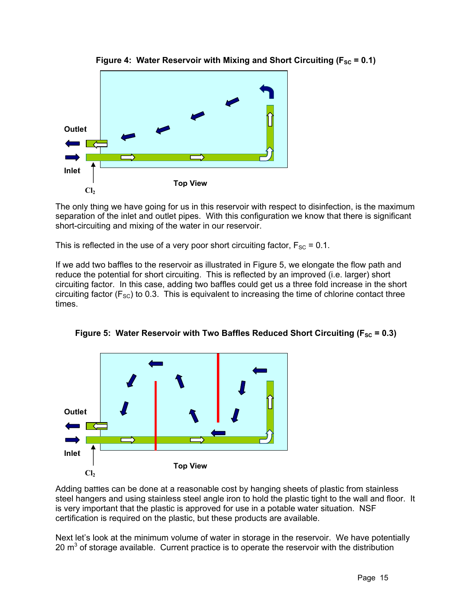

**Figure 4: Water Reservoir with Mixing and Short Circuiting (** $F_{SC} = 0.1$ **)** 

The only thing we have going for us in this reservoir with respect to disinfection, is the maximum separation of the inlet and outlet pipes. With this configuration we know that there is significant short-circuiting and mixing of the water in our reservoir.

This is reflected in the use of a very poor short circuiting factor,  $F_{SC} = 0.1$ .

If we add two baffles to the reservoir as illustrated in Figure 5, we elongate the flow path and reduce the potential for short circuiting. This is reflected by an improved (i.e. larger) short circuiting factor. In this case, adding two baffles could get us a three fold increase in the short circuiting factor ( $F_{SC}$ ) to 0.3. This is equivalent to increasing the time of chlorine contact three times.





Adding baffles can be done at a reasonable cost by hanging sheets of plastic from stainless steel hangers and using stainless steel angle iron to hold the plastic tight to the wall and floor. It is very important that the plastic is approved for use in a potable water situation. NSF certification is required on the plastic, but these products are available.

Next let's look at the minimum volume of water in storage in the reservoir. We have potentially 20  $\mathrm{m}^3$  of storage available. Current practice is to operate the reservoir with the distribution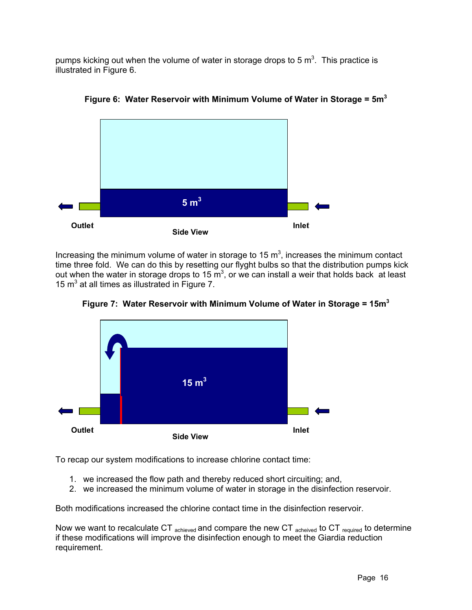pumps kicking out when the volume of water in storage drops to 5 m<sup>3</sup>. This practice is illustrated in Figure 6.



**Figure 6: Water Reservoir with Minimum Volume of Water in Storage = 5m<sup>3</sup>**

Increasing the minimum volume of water in storage to 15  $m<sup>3</sup>$ , increases the minimum contact time three fold. We can do this by resetting our flyght bulbs so that the distribution pumps kick out when the water in storage drops to 15  $\mathrm{m}^3$ , or we can install a weir that holds back at least 15  $m<sup>3</sup>$  at all times as illustrated in Figure 7.



**Figure 7: Water Reservoir with Minimum Volume of Water in Storage = 15m<sup>3</sup>**

To recap our system modifications to increase chlorine contact time:

- 1. we increased the flow path and thereby reduced short circuiting; and,
- 2. we increased the minimum volume of water in storage in the disinfection reservoir.

Both modifications increased the chlorine contact time in the disinfection reservoir.

Now we want to recalculate CT  $_{\text{achieved}}$  and compare the new CT  $_{\text{acheived}}$  to CT  $_{\text{required}}$  to determine if these modifications will improve the disinfection enough to meet the Giardia reduction requirement.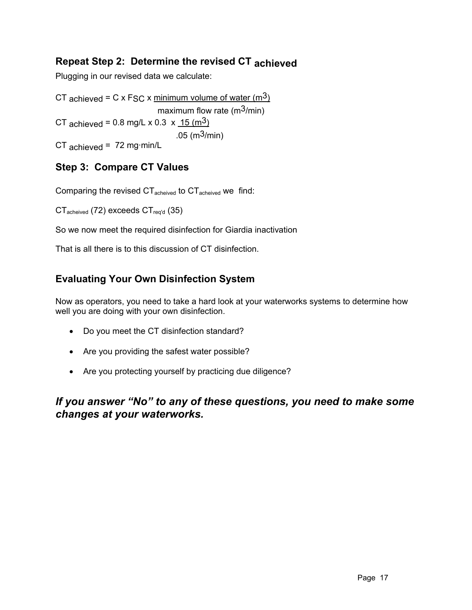### **Repeat Step 2: Determine the revised CT achieved**

Plugging in our revised data we calculate:

CT achieved = C x F<sub>SC</sub> x minimum volume of water  $(m<sup>3</sup>)$ maximum flow rate ( $m<sup>3</sup>/min$ ) CT achieved =  $0.8$  mg/L x  $0.3 \times \frac{15 \text{ (m}^3)}{15 \text{ (m}^3)}$ .05 (m $3$ /min)  $CT$  achieved = 72 mg·min/L

### **Step 3: Compare CT Values**

Comparing the revised  $CT_{\text{acheived}}$  to  $CT_{\text{acheived}}$  we find:

 $CT_{\text{acheived}}$  (72) exceeds  $CT_{\text{req'd}}$  (35)

So we now meet the required disinfection for Giardia inactivation

That is all there is to this discussion of CT disinfection.

# **Evaluating Your Own Disinfection System**

Now as operators, you need to take a hard look at your waterworks systems to determine how well you are doing with your own disinfection.

- Do you meet the CT disinfection standard?
- Are you providing the safest water possible?
- Are you protecting yourself by practicing due diligence?

### *If you answer "No" to any of these questions, you need to make some changes at your waterworks.*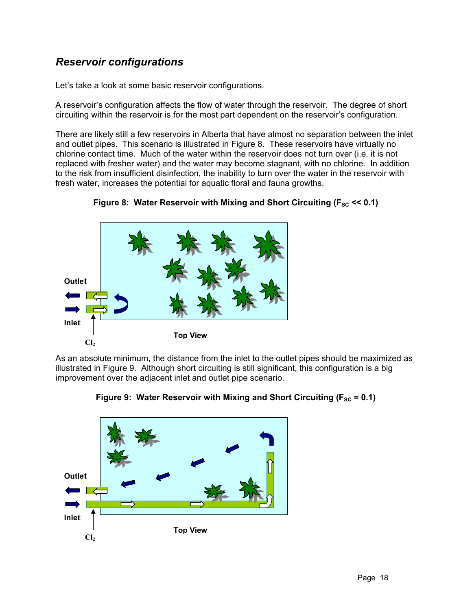# *Reservoir configurations*

Let's take a look at some basic reservoir configurations.

A reservoir's configuration affects the flow of water through the reservoir. The degree of short circuiting within the reservoir is for the most part dependent on the reservoir's configuration.

There are likely still a few reservoirs in Alberta that have almost no separation between the inlet and outlet pipes. This scenario is illustrated in Figure 8. These reservoirs have virtually no chlorine contact time. Much of the water within the reservoir does not turn over (i.e. it is not replaced with fresher water) and the water may become stagnant, with no chlorine. In addition to the risk from insufficient disinfection, the inability to turn over the water in the reservoir with fresh water, increases the potential for aquatic floral and fauna growths.





As an absolute minimum, the distance from the inlet to the outlet pipes should be maximized as illustrated in Figure 9. Although short circuiting is still significant, this configuration is a big improvement over the adjacent inlet and outlet pipe scenario.



Figure 9: Water Reservoir with Mixing and Short Circuiting ( $F_{SC}$  = 0.1)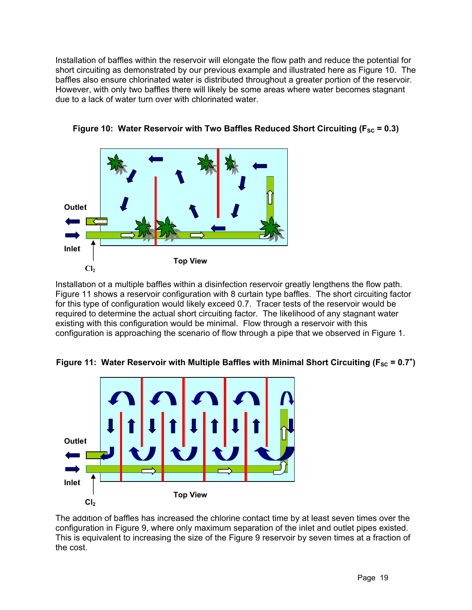Installation of baffles within the reservoir will elongate the flow path and reduce the potential for short circuiting as demonstrated by our previous example and illustrated here as Figure 10. The baffles also ensure chlorinated water is distributed throughout a greater portion of the reservoir. However, with only two baffles there will likely be some areas where water becomes stagnant due to a lack of water turn over with chlorinated water.





Installation of a multiple baffles within a disinfection reservoir greatly lengthens the flow path. Figure 11 shows a reservoir configuration with 8 curtain type baffles. The short circuiting factor for this type of configuration would likely exceed 0.7. Tracer tests of the reservoir would be required to determine the actual short circuiting factor. The likelihood of any stagnant water existing with this configuration would be minimal. Flow through a reservoir with this configuration is approaching the scenario of flow through a pipe that we observed in Figure 1.





The addition of baffles has increased the chlorine contact time by at least seven times over the configuration in Figure 9, where only maximum separation of the inlet and outlet pipes existed. This is equivalent to increasing the size of the Figure 9 reservoir by seven times at a fraction of the cost.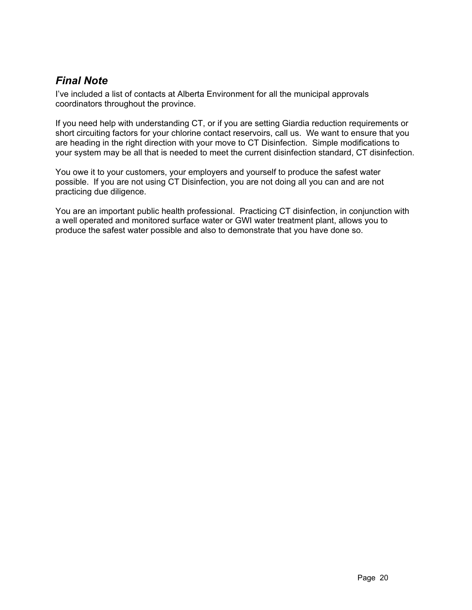# *Final Note*

I've included a list of contacts at Alberta Environment for all the municipal approvals coordinators throughout the province.

If you need help with understanding CT, or if you are setting Giardia reduction requirements or short circuiting factors for your chlorine contact reservoirs, call us. We want to ensure that you are heading in the right direction with your move to CT Disinfection. Simple modifications to your system may be all that is needed to meet the current disinfection standard, CT disinfection.

You owe it to your customers, your employers and yourself to produce the safest water possible. If you are not using CT Disinfection, you are not doing all you can and are not practicing due diligence.

You are an important public health professional. Practicing CT disinfection, in conjunction with a well operated and monitored surface water or GWI water treatment plant, allows you to produce the safest water possible and also to demonstrate that you have done so.